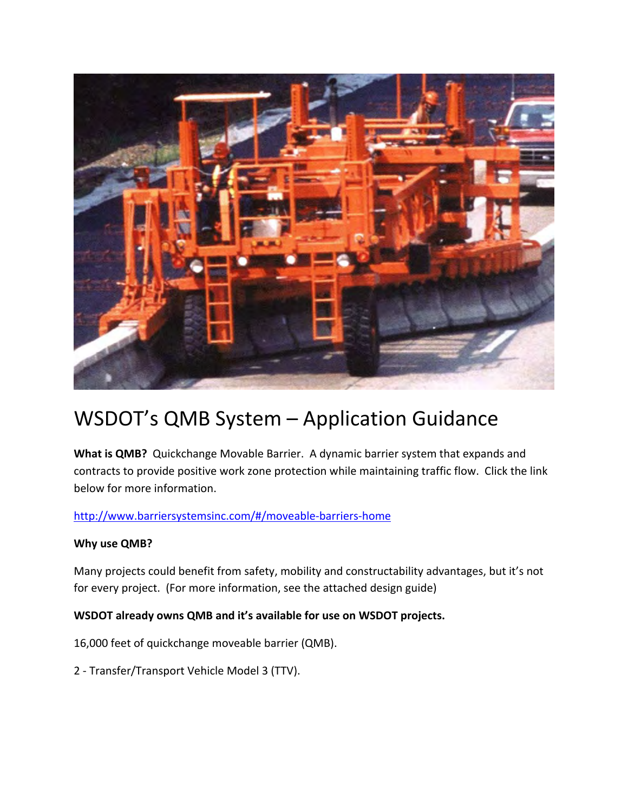

# WSDOT's QMB System – Application Guidance

**What is QMB?** Quickchange Movable Barrier. A dynamic barrier system that expands and contracts to provide positive work zone protection while maintaining traffic flow. Click the link below for more information.

http://www.barriersystemsinc.com/#/moveable‐barriers‐home

# **Why use QMB?**

Many projects could benefit from safety, mobility and constructability advantages, but it's not for every project. (For more information, see the attached design guide)

# **WSDOT already owns QMB and it's available for use on WSDOT projects.**

16,000 feet of quickchange moveable barrier (QMB).

2 ‐ Transfer/Transport Vehicle Model 3 (TTV).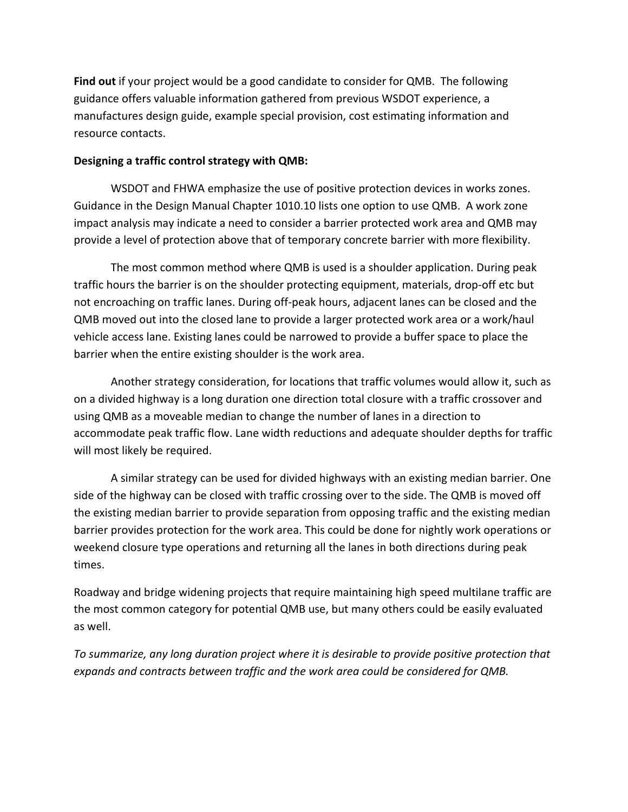**Find out** if your project would be a good candidate to consider for QMB. The following guidance offers valuable information gathered from previous WSDOT experience, a manufactures design guide, example special provision, cost estimating information and resource contacts.

## **Designing a traffic control strategy with QMB:**

WSDOT and FHWA emphasize the use of positive protection devices in works zones. Guidance in the Design Manual Chapter 1010.10 lists one option to use QMB. A work zone impact analysis may indicate a need to consider a barrier protected work area and QMB may provide a level of protection above that of temporary concrete barrier with more flexibility.

The most common method where QMB is used is a shoulder application. During peak traffic hours the barrier is on the shoulder protecting equipment, materials, drop‐off etc but not encroaching on traffic lanes. During off‐peak hours, adjacent lanes can be closed and the QMB moved out into the closed lane to provide a larger protected work area or a work/haul vehicle access lane. Existing lanes could be narrowed to provide a buffer space to place the barrier when the entire existing shoulder is the work area.

Another strategy consideration, for locations that traffic volumes would allow it, such as on a divided highway is a long duration one direction total closure with a traffic crossover and using QMB as a moveable median to change the number of lanes in a direction to accommodate peak traffic flow. Lane width reductions and adequate shoulder depths for traffic will most likely be required.

A similar strategy can be used for divided highways with an existing median barrier. One side of the highway can be closed with traffic crossing over to the side. The QMB is moved off the existing median barrier to provide separation from opposing traffic and the existing median barrier provides protection for the work area. This could be done for nightly work operations or weekend closure type operations and returning all the lanes in both directions during peak times.

Roadway and bridge widening projects that require maintaining high speed multilane traffic are the most common category for potential QMB use, but many others could be easily evaluated as well.

*To summarize, any long duration project where it is desirable to provide positive protection that expands and contracts between traffic and the work area could be considered for QMB.*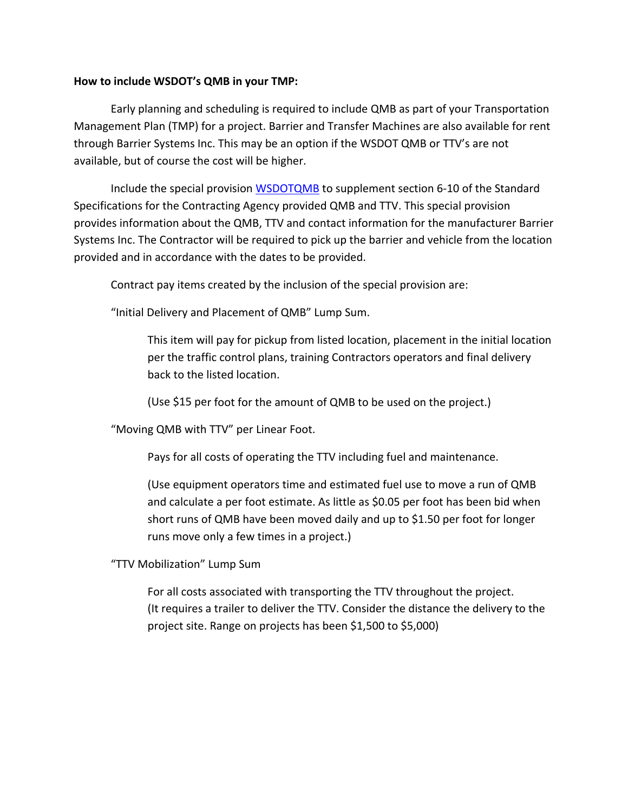#### **How to include WSDOT's QMB in your TMP:**

Early planning and scheduling is required to include QMB as part of your Transportation Management Plan (TMP) for a project. Barrier and Transfer Machines are also available for rent through Barrier Systems Inc. This may be an option if the WSDOT QMB or TTV's are not available, but of course the cost will be higher.

Include the special provision **WSDOTQMB** to supplement section 6-10 of the Standard Specifications for the Contracting Agency provided QMB and TTV. This special provision provides information about the QMB, TTV and contact information for the manufacturer Barrier Systems Inc. The Contractor will be required to pick up the barrier and vehicle from the location provided and in accordance with the dates to be provided.

Contract pay items created by the inclusion of the special provision are:

"Initial Delivery and Placement of QMB" Lump Sum.

This item will pay for pickup from listed location, placement in the initial location per the traffic control plans, training Contractors operators and final delivery back to the listed location.

(Use \$15 per foot for the amount of QMB to be used on the project.)

"Moving QMB with TTV" per Linear Foot.

Pays for all costs of operating the TTV including fuel and maintenance.

(Use equipment operators time and estimated fuel use to move a run of QMB and calculate a per foot estimate. As little as \$0.05 per foot has been bid when short runs of QMB have been moved daily and up to \$1.50 per foot for longer runs move only a few times in a project.)

"TTV Mobilization" Lump Sum

For all costs associated with transporting the TTV throughout the project. (It requires a trailer to deliver the TTV. Consider the distance the delivery to the project site. Range on projects has been \$1,500 to \$5,000)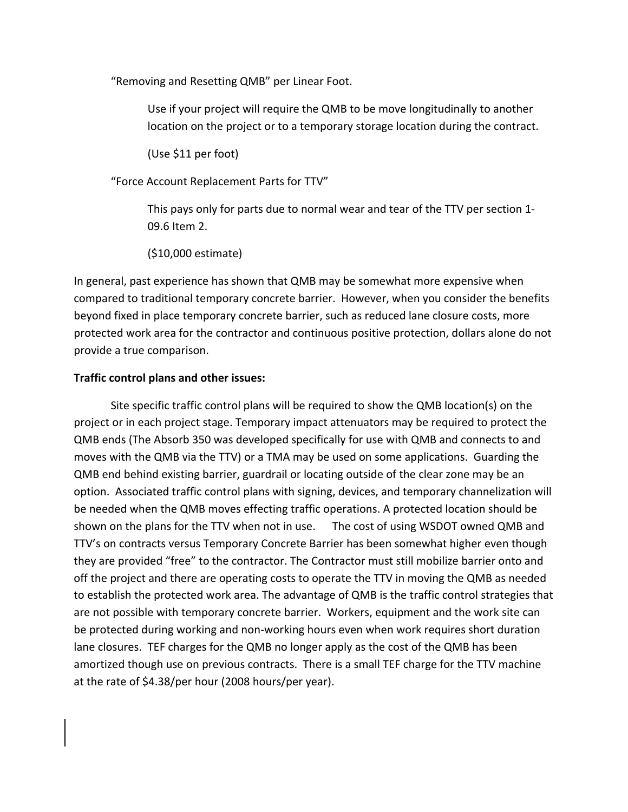"Removing and Resetting QMB" per Linear Foot.

Use if your project will require the QMB to be move longitudinally to another location on the project or to a temporary storage location during the contract.

(Use \$11 per foot)

"Force Account Replacement Parts for TTV"

This pays only for parts due to normal wear and tear of the TTV per section 1‐ 09.6 Item 2.

(\$10,000 estimate)

In general, past experience has shown that QMB may be somewhat more expensive when compared to traditional temporary concrete barrier. However, when you consider the benefits beyond fixed in place temporary concrete barrier, such as reduced lane closure costs, more protected work area for the contractor and continuous positive protection, dollars alone do not provide a true comparison.

#### **Traffic control plans and other issues:**

Site specific traffic control plans will be required to show the QMB location(s) on the project or in each project stage. Temporary impact attenuators may be required to protect the QMB ends (The Absorb 350 was developed specifically for use with QMB and connects to and moves with the QMB via the TTV) or a TMA may be used on some applications. Guarding the QMB end behind existing barrier, guardrail or locating outside of the clear zone may be an option. Associated traffic control plans with signing, devices, and temporary channelization will be needed when the QMB moves effecting traffic operations. A protected location should be shown on the plans for the TTV when not in use. The cost of using WSDOT owned QMB and TTV's on contracts versus Temporary Concrete Barrier has been somewhat higher even though they are provided "free" to the contractor. The Contractor must still mobilize barrier onto and off the project and there are operating costs to operate the TTV in moving the QMB as needed to establish the protected work area. The advantage of QMB is the traffic control strategies that are not possible with temporary concrete barrier. Workers, equipment and the work site can be protected during working and non‐working hours even when work requires short duration lane closures. TEF charges for the QMB no longer apply as the cost of the QMB has been amortized though use on previous contracts. There is a small TEF charge for the TTV machine at the rate of \$4.38/per hour (2008 hours/per year).